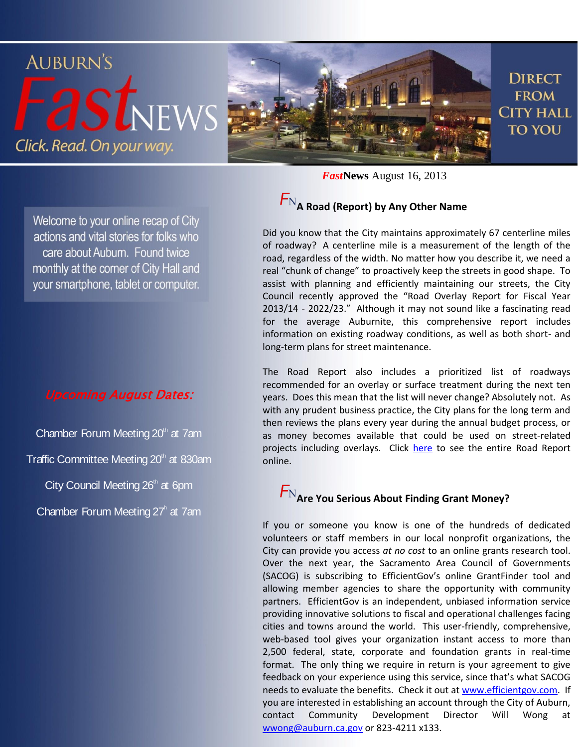

 $F_{\rm N_A}$  Road (Report) by Any Other Name *Fast***News** August 16, 2013

### Welcome to your online recap of City actions and vital stories for folks who care about Auburn. Found twice monthly at the corner of City Hall and your smartphone, tablet or computer.

#### Upcoming August Dates:

Chamber Forum Meeting  $20<sup>th</sup>$  at 7am Traffic Committee Meeting 20<sup>th</sup> at 830am City Council Meeting  $26<sup>th</sup>$  at 6pm Chamber Forum Meeting 27<sup>h</sup> at 7am

Did you know that the City maintains approximately 67 centerline miles of roadway? A centerline mile is a measurement of the length of the road, regardless of the width. No matter how you describe it, we need a real "chunk of change" to proactively keep the streets in good shape. To assist with planning and efficiently maintaining our streets, the City Council recently approved the "Road Overlay Report for Fiscal Year 2013/14 - 2022/23." Although it may not sound like a fascinating read for the average Auburnite, this comprehensive report includes information on existing roadway conditions, as well as both short- and long-term plans for street maintenance.

The Road Report also includes a prioritized list of roadways recommended for an overlay or surface treatment during the next ten years. Does this mean that the list will never change? Absolutely not. As with any prudent business practice, the City plans for the long term and then reviews the plans every year during the annual budget process, or as money becomes available that could be used on street-related projects including overlays. Click [here](http://www.auburn.ca.gov/services/PublicWorks/Docs/Approved%20Road%20Report%20FY13%2014_FY22%2023.pdf) to see the entire Road Report online.

## **Are You Serious About Finding Grant Money?**

If you or someone you know is one of the hundreds of dedicated volunteers or staff members in our local nonprofit organizations, the City can provide you access *at no cost* to an online grants research tool. Over the next year, the Sacramento Area Council of Governments (SACOG) is subscribing to EfficientGov's online GrantFinder tool and allowing member agencies to share the opportunity with community partners. EfficientGov is an independent, unbiased information service providing innovative solutions to fiscal and operational challenges facing cities and towns around the world. This user-friendly, comprehensive, web-based tool gives your organization instant access to more than 2,500 federal, state, corporate and foundation grants in real-time format. The only thing we require in return is your agreement to give feedback on your experience using this service, since that's what SACOG needs to evaluate the benefits. Check it out a[t www.efficientgov.com.](http://www.efficientgov.com/) If you are interested in establishing an account through the City of Auburn, contact Community Development Director Will Wong at [wwong@auburn.ca.gov](mailto:wwong@auburn.ca.gov) or 823-4211 x133.